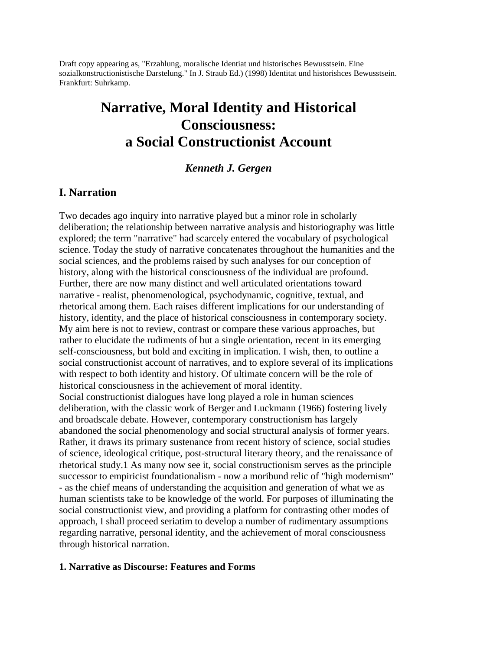Draft copy appearing as, "Erzahlung, moralische Identiat und historisches Bewusstsein. Eine sozialkonstructionistische Darstelung." In J. Straub Ed.) (1998) Identitat und historishces Bewusstsein. Frankfurt: Suhrkamp.

# **Narrative, Moral Identity and Historical Consciousness: a Social Constructionist Account**

### *Kenneth J. Gergen*

### **I. Narration**

Two decades ago inquiry into narrative played but a minor role in scholarly deliberation; the relationship between narrative analysis and historiography was little explored; the term "narrative" had scarcely entered the vocabulary of psychological science. Today the study of narrative concatenates throughout the humanities and the social sciences, and the problems raised by such analyses for our conception of history, along with the historical consciousness of the individual are profound. Further, there are now many distinct and well articulated orientations toward narrative - realist, phenomenological, psychodynamic, cognitive, textual, and rhetorical among them. Each raises different implications for our understanding of history, identity, and the place of historical consciousness in contemporary society. My aim here is not to review, contrast or compare these various approaches, but rather to elucidate the rudiments of but a single orientation, recent in its emerging self-consciousness, but bold and exciting in implication. I wish, then, to outline a social constructionist account of narratives, and to explore several of its implications with respect to both identity and history. Of ultimate concern will be the role of historical consciousness in the achievement of moral identity. Social constructionist dialogues have long played a role in human sciences deliberation, with the classic work of Berger and Luckmann (1966) fostering lively and broadscale debate. However, contemporary constructionism has largely abandoned the social phenomenology and social structural analysis of former years. Rather, it draws its primary sustenance from recent history of science, social studies of science, ideological critique, post-structural literary theory, and the renaissance of rhetorical study.1 As many now see it, social constructionism serves as the principle successor to empiricist foundationalism - now a moribund relic of "high modernism" - as the chief means of understanding the acquisition and generation of what we as human scientists take to be knowledge of the world. For purposes of illuminating the social constructionist view, and providing a platform for contrasting other modes of approach, I shall proceed seriatim to develop a number of rudimentary assumptions regarding narrative, personal identity, and the achievement of moral consciousness through historical narration.

### **1. Narrative as Discourse: Features and Forms**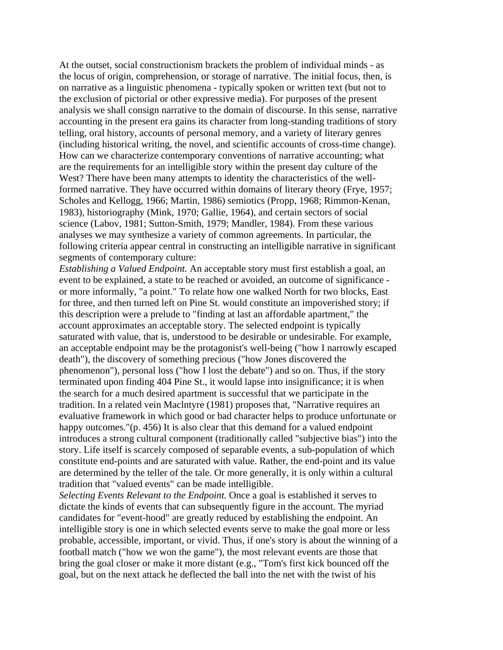At the outset, social constructionism brackets the problem of individual minds - as the locus of origin, comprehension, or storage of narrative. The initial focus, then, is on narrative as a linguistic phenomena - typically spoken or written text (but not to the exclusion of pictorial or other expressive media). For purposes of the present analysis we shall consign narrative to the domain of discourse. In this sense, narrative accounting in the present era gains its character from long-standing traditions of story telling, oral history, accounts of personal memory, and a variety of literary genres (including historical writing, the novel, and scientific accounts of cross-time change). How can we characterize contemporary conventions of narrative accounting; what are the requirements for an intelligible story within the present day culture of the West? There have been many attempts to identity the characteristics of the wellformed narrative. They have occurred within domains of literary theory (Frye, 1957; Scholes and Kellogg, 1966; Martin, 1986) semiotics (Propp, 1968; Rimmon-Kenan, 1983), historiography (Mink, 1970; Gallie, 1964), and certain sectors of social science (Labov, 1981; Sutton-Smith, 1979; Mandler, 1984). From these various analyses we may synthesize a variety of common agreements. In particular, the following criteria appear central in constructing an intelligible narrative in significant segments of contemporary culture:

*Establishing a Valued Endpoint.* An acceptable story must first establish a goal, an event to be explained, a state to be reached or avoided, an outcome of significance or more informally, "a point." To relate how one walked North for two blocks, East for three, and then turned left on Pine St. would constitute an impoverished story; if this description were a prelude to "finding at last an affordable apartment," the account approximates an acceptable story. The selected endpoint is typically saturated with value, that is, understood to be desirable or undesirable. For example, an acceptable endpoint may be the protagonist's well-being ("how I narrowly escaped death"), the discovery of something precious ("how Jones discovered the phenomenon"), personal loss ("how I lost the debate") and so on. Thus, if the story terminated upon finding 404 Pine St., it would lapse into insignificance; it is when the search for a much desired apartment is successful that we participate in the tradition. In a related vein Maclntyre (1981) proposes that, "Narrative requires an evaluative framework in which good or bad character helps to produce unfortunate or happy outcomes."(p. 456) It is also clear that this demand for a valued endpoint introduces a strong cultural component (traditionally called "subjective bias") into the story. Life itself is scarcely composed of separable events, a sub-population of which constitute end-points and are saturated with value. Rather, the end-point and its value are determined by the teller of the tale. Or more generally, it is only within a cultural tradition that "valued events" can be made intelligible.

*Selecting Events Relevant to the Endpoint.* Once a goal is established it serves to dictate the kinds of events that can subsequently figure in the account. The myriad candidates for "event-hood" are greatly reduced by establishing the endpoint. An intelligible story is one in which selected events serve to make the goal more or less probable, accessible, important, or vivid. Thus, if one's story is about the winning of a football match ("how we won the game"), the most relevant events are those that bring the goal closer or make it more distant (e.g., "Tom's first kick bounced off the goal, but on the next attack he deflected the ball into the net with the twist of his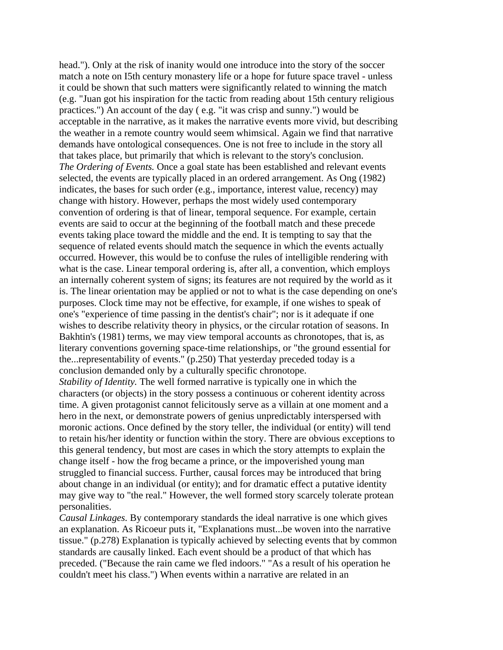head."). Only at the risk of inanity would one introduce into the story of the soccer match a note on I5th century monastery life or a hope for future space travel - unless it could be shown that such matters were significantly related to winning the match (e.g. "Juan got his inspiration for the tactic from reading about 15th century religious practices.") An account of the day ( e.g. "it was crisp and sunny.") would be acceptable in the narrative, as it makes the narrative events more vivid, but describing the weather in a remote country would seem whimsical. Again we find that narrative demands have ontological consequences. One is not free to include in the story all that takes place, but primarily that which is relevant to the story's conclusion. *The Ordering of Events.* Once a goal state has been established and relevant events selected, the events are typically placed in an ordered arrangement. As Ong (1982) indicates, the bases for such order (e.g., importance, interest value, recency) may change with history. However, perhaps the most widely used contemporary convention of ordering is that of linear, temporal sequence. For example, certain events are said to occur at the beginning of the football match and these precede events taking place toward the middle and the end. It is tempting to say that the sequence of related events should match the sequence in which the events actually occurred. However, this would be to confuse the rules of intelligible rendering with what is the case. Linear temporal ordering is, after all, a convention, which employs an internally coherent system of signs; its features are not required by the world as it is. The linear orientation may be applied or not to what is the case depending on one's purposes. Clock time may not be effective, for example, if one wishes to speak of one's "experience of time passing in the dentist's chair"; nor is it adequate if one wishes to describe relativity theory in physics, or the circular rotation of seasons. In Bakhtin's (1981) terms, we may view temporal accounts as chronotopes, that is, as literary conventions governing space-time relationships, or "the ground essential for the...representability of events." (p.250) That yesterday preceded today is a conclusion demanded only by a culturally specific chronotope. *Stability of Identity.* The well formed narrative is typically one in which the characters (or objects) in the story possess a continuous or coherent identity across time. A given protagonist cannot felicitously serve as a villain at one moment and a hero in the next, or demonstrate powers of genius unpredictably interspersed with moronic actions. Once defined by the story teller, the individual (or entity) will tend to retain his/her identity or function within the story. There are obvious exceptions to this general tendency, but most are cases in which the story attempts to explain the change itself - how the frog became a prince, or the impoverished young man struggled to financial success. Further, causal forces may be introduced that bring

about change in an individual (or entity); and for dramatic effect a putative identity may give way to "the real." However, the well formed story scarcely tolerate protean personalities.

*Causal Linkages.* By contemporary standards the ideal narrative is one which gives an explanation. As Ricoeur puts it, "Explanations must...be woven into the narrative tissue." (p.278) Explanation is typically achieved by selecting events that by common standards are causally linked. Each event should be a product of that which has preceded. ("Because the rain came we fled indoors." "As a result of his operation he couldn't meet his class.") When events within a narrative are related in an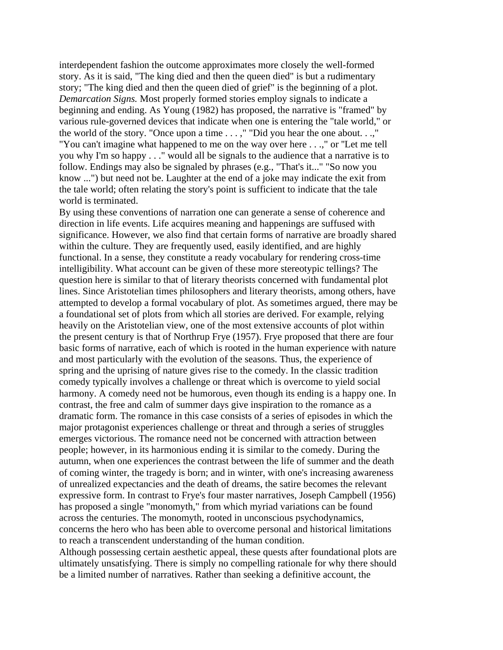interdependent fashion the outcome approximates more closely the well-formed story. As it is said, "The king died and then the queen died" is but a rudimentary story; "The king died and then the queen died of grief" is the beginning of a plot. *Demarcation Signs.* Most properly formed stories employ signals to indicate a beginning and ending. As Young (1982) has proposed, the narrative is "framed" by various rule-governed devices that indicate when one is entering the "tale world," or the world of the story. "Once upon a time . . . ," "Did you hear the one about. . .," "You can't imagine what happened to me on the way over here . . .," or ''Let me tell you why I'm so happy . . ." would all be signals to the audience that a narrative is to follow. Endings may also be signaled by phrases (e.g., "That's it..." "So now you know ...") but need not be. Laughter at the end of a joke may indicate the exit from the tale world; often relating the story's point is sufficient to indicate that the tale world is terminated.

By using these conventions of narration one can generate a sense of coherence and direction in life events. Life acquires meaning and happenings are suffused with significance. However, we also find that certain forms of narrative are broadly shared within the culture. They are frequently used, easily identified, and are highly functional. In a sense, they constitute a ready vocabulary for rendering cross-time intelligibility. What account can be given of these more stereotypic tellings? The question here is similar to that of literary theorists concerned with fundamental plot lines. Since Aristotelian times philosophers and literary theorists, among others, have attempted to develop a formal vocabulary of plot. As sometimes argued, there may be a foundational set of plots from which all stories are derived. For example, relying heavily on the Aristotelian view, one of the most extensive accounts of plot within the present century is that of Northrup Frye (1957). Frye proposed that there are four basic forms of narrative, each of which is rooted in the human experience with nature and most particularly with the evolution of the seasons. Thus, the experience of spring and the uprising of nature gives rise to the comedy. In the classic tradition comedy typically involves a challenge or threat which is overcome to yield social harmony. A comedy need not be humorous, even though its ending is a happy one. In contrast, the free and calm of summer days give inspiration to the romance as a dramatic form. The romance in this case consists of a series of episodes in which the major protagonist experiences challenge or threat and through a series of struggles emerges victorious. The romance need not be concerned with attraction between people; however, in its harmonious ending it is similar to the comedy. During the autumn, when one experiences the contrast between the life of summer and the death of coming winter, the tragedy is born; and in winter, with one's increasing awareness of unrealized expectancies and the death of dreams, the satire becomes the relevant expressive form. In contrast to Frye's four master narratives, Joseph Campbell (1956) has proposed a single "monomyth," from which myriad variations can be found across the centuries. The monomyth, rooted in unconscious psychodynamics, concerns the hero who has been able to overcome personal and historical limitations to reach a transcendent understanding of the human condition.

Although possessing certain aesthetic appeal, these quests after foundational plots are ultimately unsatisfying. There is simply no compelling rationale for why there should be a limited number of narratives. Rather than seeking a definitive account, the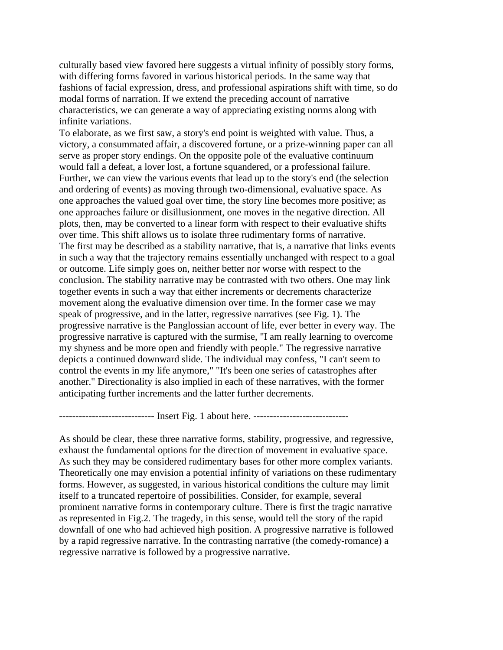culturally based view favored here suggests a virtual infinity of possibly story forms, with differing forms favored in various historical periods. In the same way that fashions of facial expression, dress, and professional aspirations shift with time, so do modal forms of narration. If we extend the preceding account of narrative characteristics, we can generate a way of appreciating existing norms along with infinite variations.

To elaborate, as we first saw, a story's end point is weighted with value. Thus, a victory, a consummated affair, a discovered fortune, or a prize-winning paper can all serve as proper story endings. On the opposite pole of the evaluative continuum would fall a defeat, a lover lost, a fortune squandered, or a professional failure. Further, we can view the various events that lead up to the story's end (the selection and ordering of events) as moving through two-dimensional, evaluative space. As one approaches the valued goal over time, the story line becomes more positive; as one approaches failure or disillusionment, one moves in the negative direction. All plots, then, may be converted to a linear form with respect to their evaluative shifts over time. This shift allows us to isolate three rudimentary forms of narrative. The first may be described as a stability narrative, that is, a narrative that links events in such a way that the trajectory remains essentially unchanged with respect to a goal or outcome. Life simply goes on, neither better nor worse with respect to the conclusion. The stability narrative may be contrasted with two others. One may link together events in such a way that either increments or decrements characterize movement along the evaluative dimension over time. In the former case we may speak of progressive, and in the latter, regressive narratives (see Fig. 1). The progressive narrative is the Panglossian account of life, ever better in every way. The progressive narrative is captured with the surmise, "I am really learning to overcome my shyness and be more open and friendly with people." The regressive narrative depicts a continued downward slide. The individual may confess, "I can't seem to control the events in my life anymore," "It's been one series of catastrophes after another." Directionality is also implied in each of these narratives, with the former anticipating further increments and the latter further decrements.

----------------------------- Insert Fig. 1 about here. -----------------------------

As should be clear, these three narrative forms, stability, progressive, and regressive, exhaust the fundamental options for the direction of movement in evaluative space. As such they may be considered rudimentary bases for other more complex variants. Theoretically one may envision a potential infinity of variations on these rudimentary forms. However, as suggested, in various historical conditions the culture may limit itself to a truncated repertoire of possibilities. Consider, for example, several prominent narrative forms in contemporary culture. There is first the tragic narrative as represented in Fig.2. The tragedy, in this sense, would tell the story of the rapid downfall of one who had achieved high position. A progressive narrative is followed by a rapid regressive narrative. In the contrasting narrative (the comedy-romance) a regressive narrative is followed by a progressive narrative.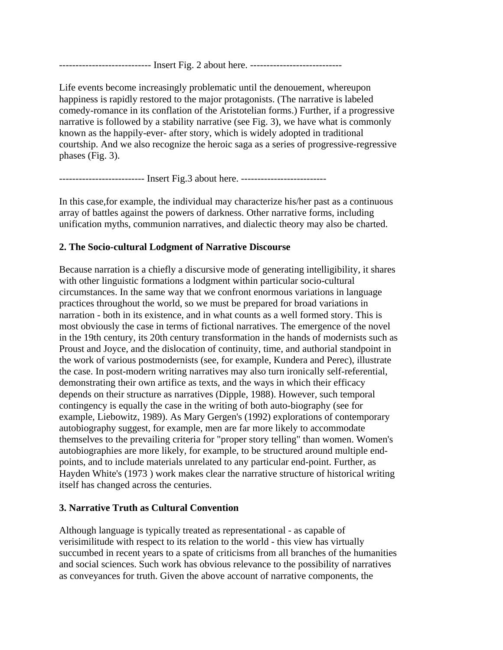---------------------------- Insert Fig. 2 about here. ----------------------------

Life events become increasingly problematic until the denouement, whereupon happiness is rapidly restored to the major protagonists. (The narrative is labeled comedy-romance in its conflation of the Aristotelian forms.) Further, if a progressive narrative is followed by a stability narrative (see Fig. 3), we have what is commonly known as the happily-ever- after story, which is widely adopted in traditional courtship. And we also recognize the heroic saga as a series of progressive-regressive phases (Fig. 3).

---------------------------- Insert Fig.3 about here. ---------------------------

In this case,for example, the individual may characterize his/her past as a continuous array of battles against the powers of darkness. Other narrative forms, including unification myths, communion narratives, and dialectic theory may also be charted.

### **2. The Socio-cultural Lodgment of Narrative Discourse**

Because narration is a chiefly a discursive mode of generating intelligibility, it shares with other linguistic formations a lodgment within particular socio-cultural circumstances. In the same way that we confront enormous variations in language practices throughout the world, so we must be prepared for broad variations in narration - both in its existence, and in what counts as a well formed story. This is most obviously the case in terms of fictional narratives. The emergence of the novel in the 19th century, its 20th century transformation in the hands of modernists such as Proust and Joyce, and the dislocation of continuity, time, and authorial standpoint in the work of various postmodernists (see, for example, Kundera and Perec), illustrate the case. In post-modern writing narratives may also turn ironically self-referential, demonstrating their own artifice as texts, and the ways in which their efficacy depends on their structure as narratives (Dipple, 1988). However, such temporal contingency is equally the case in the writing of both auto-biography (see for example, Liebowitz, 1989). As Mary Gergen's (1992) explorations of contemporary autobiography suggest, for example, men are far more likely to accommodate themselves to the prevailing criteria for "proper story telling" than women. Women's autobiographies are more likely, for example, to be structured around multiple endpoints, and to include materials unrelated to any particular end-point. Further, as Hayden White's (1973 ) work makes clear the narrative structure of historical writing itself has changed across the centuries.

### **3. Narrative Truth as Cultural Convention**

Although language is typically treated as representational - as capable of verisimilitude with respect to its relation to the world - this view has virtually succumbed in recent years to a spate of criticisms from all branches of the humanities and social sciences. Such work has obvious relevance to the possibility of narratives as conveyances for truth. Given the above account of narrative components, the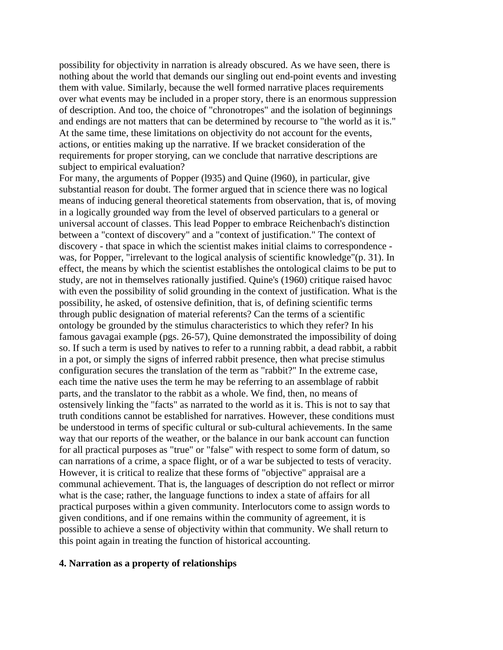possibility for objectivity in narration is already obscured. As we have seen, there is nothing about the world that demands our singling out end-point events and investing them with value. Similarly, because the well formed narrative places requirements over what events may be included in a proper story, there is an enormous suppression of description. And too, the choice of "chronotropes" and the isolation of beginnings and endings are not matters that can be determined by recourse to "the world as it is." At the same time, these limitations on objectivity do not account for the events, actions, or entities making up the narrative. If we bracket consideration of the requirements for proper storying, can we conclude that narrative descriptions are subject to empirical evaluation?

For many, the arguments of Popper (l935) and Quine (l960), in particular, give substantial reason for doubt. The former argued that in science there was no logical means of inducing general theoretical statements from observation, that is, of moving in a logically grounded way from the level of observed particulars to a general or universal account of classes. This lead Popper to embrace Reichenbach's distinction between a "context of discovery" and a "context of justification." The context of discovery - that space in which the scientist makes initial claims to correspondence was, for Popper, "irrelevant to the logical analysis of scientific knowledge"(p. 31). In effect, the means by which the scientist establishes the ontological claims to be put to study, are not in themselves rationally justified. Quine's (1960) critique raised havoc with even the possibility of solid grounding in the context of justification. What is the possibility, he asked, of ostensive definition, that is, of defining scientific terms through public designation of material referents? Can the terms of a scientific ontology be grounded by the stimulus characteristics to which they refer? In his famous gavagai example (pgs. 26-57), Quine demonstrated the impossibility of doing so. If such a term is used by natives to refer to a running rabbit, a dead rabbit, a rabbit in a pot, or simply the signs of inferred rabbit presence, then what precise stimulus configuration secures the translation of the term as "rabbit?" In the extreme case, each time the native uses the term he may be referring to an assemblage of rabbit parts, and the translator to the rabbit as a whole. We find, then, no means of ostensively linking the "facts" as narrated to the world as it is. This is not to say that truth conditions cannot be established for narratives. However, these conditions must be understood in terms of specific cultural or sub-cultural achievements. In the same way that our reports of the weather, or the balance in our bank account can function for all practical purposes as "true" or "false" with respect to some form of datum, so can narrations of a crime, a space flight, or of a war be subjected to tests of veracity. However, it is critical to realize that these forms of "objective" appraisal are a communal achievement. That is, the languages of description do not reflect or mirror what is the case; rather, the language functions to index a state of affairs for all practical purposes within a given community. Interlocutors come to assign words to given conditions, and if one remains within the community of agreement, it is possible to achieve a sense of objectivity within that community. We shall return to this point again in treating the function of historical accounting.

#### **4. Narration as a property of relationships**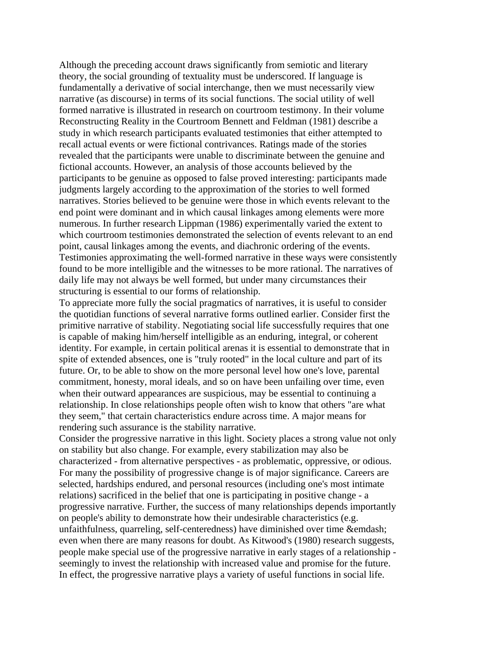Although the preceding account draws significantly from semiotic and literary theory, the social grounding of textuality must be underscored. If language is fundamentally a derivative of social interchange, then we must necessarily view narrative (as discourse) in terms of its social functions. The social utility of well formed narrative is illustrated in research on courtroom testimony. In their volume Reconstructing Reality in the Courtroom Bennett and Feldman (1981) describe a study in which research participants evaluated testimonies that either attempted to recall actual events or were fictional contrivances. Ratings made of the stories revealed that the participants were unable to discriminate between the genuine and fictional accounts. However, an analysis of those accounts believed by the participants to be genuine as opposed to false proved interesting: participants made judgments largely according to the approximation of the stories to well formed narratives. Stories believed to be genuine were those in which events relevant to the end point were dominant and in which causal linkages among elements were more numerous. In further research Lippman (1986) experimentally varied the extent to which courtroom testimonies demonstrated the selection of events relevant to an end point, causal linkages among the events, and diachronic ordering of the events. Testimonies approximating the well-formed narrative in these ways were consistently found to be more intelligible and the witnesses to be more rational. The narratives of daily life may not always be well formed, but under many circumstances their structuring is essential to our forms of relationship.

To appreciate more fully the social pragmatics of narratives, it is useful to consider the quotidian functions of several narrative forms outlined earlier. Consider first the primitive narrative of stability. Negotiating social life successfully requires that one is capable of making him/herself intelligible as an enduring, integral, or coherent identity. For example, in certain political arenas it is essential to demonstrate that in spite of extended absences, one is "truly rooted" in the local culture and part of its future. Or, to be able to show on the more personal level how one's love, parental commitment, honesty, moral ideals, and so on have been unfailing over time, even when their outward appearances are suspicious, may be essential to continuing a relationship. In close relationships people often wish to know that others "are what they seem," that certain characteristics endure across time. A major means for rendering such assurance is the stability narrative.

Consider the progressive narrative in this light. Society places a strong value not only on stability but also change. For example, every stabilization may also be characterized - from alternative perspectives - as problematic, oppressive, or odious. For many the possibility of progressive change is of major significance. Careers are selected, hardships endured, and personal resources (including one's most intimate relations) sacrificed in the belief that one is participating in positive change - a progressive narrative. Further, the success of many relationships depends importantly on people's ability to demonstrate how their undesirable characteristics (e.g. unfaithfulness, quarreling, self-centeredness) have diminished over time &emdash; even when there are many reasons for doubt. As Kitwood's (1980) research suggests, people make special use of the progressive narrative in early stages of a relationship seemingly to invest the relationship with increased value and promise for the future. In effect, the progressive narrative plays a variety of useful functions in social life.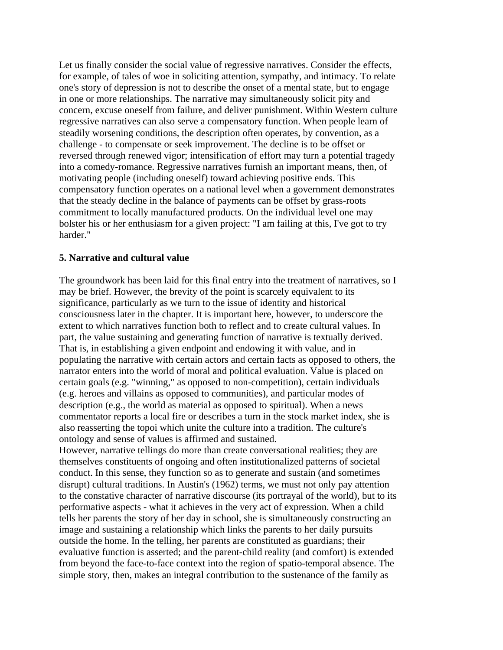Let us finally consider the social value of regressive narratives. Consider the effects, for example, of tales of woe in soliciting attention, sympathy, and intimacy. To relate one's story of depression is not to describe the onset of a mental state, but to engage in one or more relationships. The narrative may simultaneously solicit pity and concern, excuse oneself from failure, and deliver punishment. Within Western culture regressive narratives can also serve a compensatory function. When people learn of steadily worsening conditions, the description often operates, by convention, as a challenge - to compensate or seek improvement. The decline is to be offset or reversed through renewed vigor; intensification of effort may turn a potential tragedy into a comedy-romance. Regressive narratives furnish an important means, then, of motivating people (including oneself) toward achieving positive ends. This compensatory function operates on a national level when a government demonstrates that the steady decline in the balance of payments can be offset by grass-roots commitment to locally manufactured products. On the individual level one may bolster his or her enthusiasm for a given project: "I am failing at this, I've got to try harder."

### **5. Narrative and cultural value**

The groundwork has been laid for this final entry into the treatment of narratives, so I may be brief. However, the brevity of the point is scarcely equivalent to its significance, particularly as we turn to the issue of identity and historical consciousness later in the chapter. It is important here, however, to underscore the extent to which narratives function both to reflect and to create cultural values. In part, the value sustaining and generating function of narrative is textually derived. That is, in establishing a given endpoint and endowing it with value, and in populating the narrative with certain actors and certain facts as opposed to others, the narrator enters into the world of moral and political evaluation. Value is placed on certain goals (e.g. "winning," as opposed to non-competition), certain individuals (e.g. heroes and villains as opposed to communities), and particular modes of description (e.g., the world as material as opposed to spiritual). When a news commentator reports a local fire or describes a turn in the stock market index, she is also reasserting the topoi which unite the culture into a tradition. The culture's ontology and sense of values is affirmed and sustained.

However, narrative tellings do more than create conversational realities; they are themselves constituents of ongoing and often institutionalized patterns of societal conduct. In this sense, they function so as to generate and sustain (and sometimes disrupt) cultural traditions. In Austin's (1962) terms, we must not only pay attention to the constative character of narrative discourse (its portrayal of the world), but to its performative aspects - what it achieves in the very act of expression. When a child tells her parents the story of her day in school, she is simultaneously constructing an image and sustaining a relationship which links the parents to her daily pursuits outside the home. In the telling, her parents are constituted as guardians; their evaluative function is asserted; and the parent-child reality (and comfort) is extended from beyond the face-to-face context into the region of spatio-temporal absence. The simple story, then, makes an integral contribution to the sustenance of the family as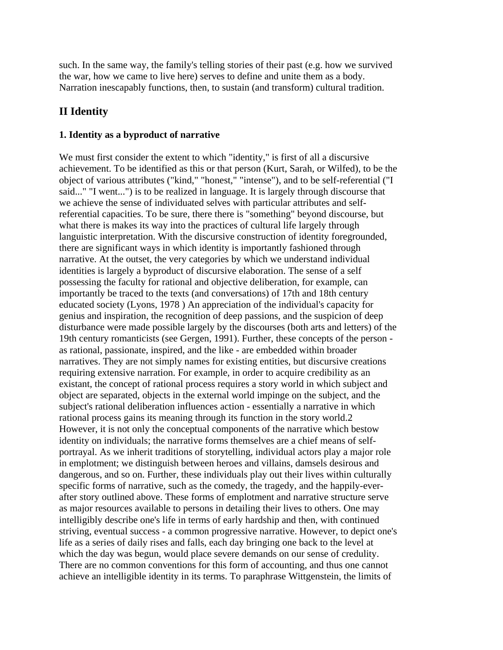such. In the same way, the family's telling stories of their past (e.g. how we survived the war, how we came to live here) serves to define and unite them as a body. Narration inescapably functions, then, to sustain (and transform) cultural tradition.

# **II Identity**

### **1. Identity as a byproduct of narrative**

We must first consider the extent to which "identity," is first of all a discursive achievement. To be identified as this or that person (Kurt, Sarah, or Wilfed), to be the object of various attributes ("kind," "honest," "intense"), and to be self-referential ("I said..." "I went...") is to be realized in language. It is largely through discourse that we achieve the sense of individuated selves with particular attributes and selfreferential capacities. To be sure, there there is "something" beyond discourse, but what there is makes its way into the practices of cultural life largely through languistic interpretation. With the discursive construction of identity foregrounded, there are significant ways in which identity is importantly fashioned through narrative. At the outset, the very categories by which we understand individual identities is largely a byproduct of discursive elaboration. The sense of a self possessing the faculty for rational and objective deliberation, for example, can importantly be traced to the texts (and conversations) of 17th and 18th century educated society (Lyons, 1978 ) An appreciation of the individual's capacity for genius and inspiration, the recognition of deep passions, and the suspicion of deep disturbance were made possible largely by the discourses (both arts and letters) of the 19th century romanticists (see Gergen, 1991). Further, these concepts of the person as rational, passionate, inspired, and the like - are embedded within broader narratives. They are not simply names for existing entities, but discursive creations requiring extensive narration. For example, in order to acquire credibility as an existant, the concept of rational process requires a story world in which subject and object are separated, objects in the external world impinge on the subject, and the subject's rational deliberation influences action - essentially a narrative in which rational process gains its meaning through its function in the story world.2 However, it is not only the conceptual components of the narrative which bestow identity on individuals; the narrative forms themselves are a chief means of selfportrayal. As we inherit traditions of storytelling, individual actors play a major role in emplotment; we distinguish between heroes and villains, damsels desirous and dangerous, and so on. Further, these individuals play out their lives within culturally specific forms of narrative, such as the comedy, the tragedy, and the happily-everafter story outlined above. These forms of emplotment and narrative structure serve as major resources available to persons in detailing their lives to others. One may intelligibly describe one's life in terms of early hardship and then, with continued striving, eventual success - a common progressive narrative. However, to depict one's life as a series of daily rises and falls, each day bringing one back to the level at which the day was begun, would place severe demands on our sense of credulity. There are no common conventions for this form of accounting, and thus one cannot achieve an intelligible identity in its terms. To paraphrase Wittgenstein, the limits of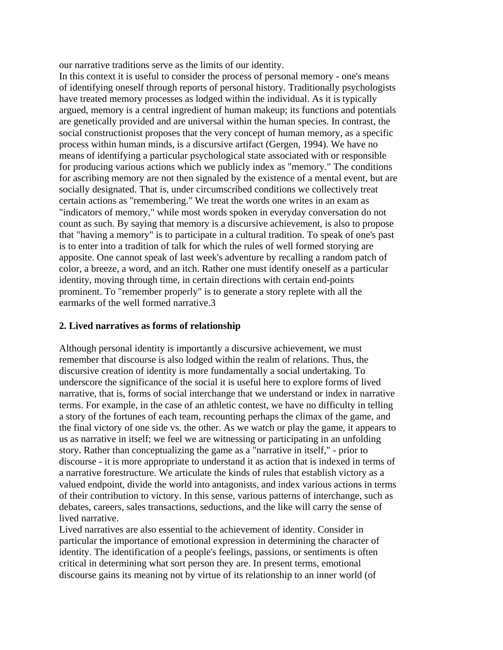our narrative traditions serve as the limits of our identity.

In this context it is useful to consider the process of personal memory - one's means of identifying oneself through reports of personal history. Traditionally psychologists have treated memory processes as lodged within the individual. As it is typically argued, memory is a central ingredient of human makeup; its functions and potentials are genetically provided and are universal within the human species. In contrast, the social constructionist proposes that the very concept of human memory, as a specific process within human minds, is a discursive artifact (Gergen, 1994). We have no means of identifying a particular psychological state associated with or responsible for producing various actions which we publicly index as "memory." The conditions for ascribing memory are not then signaled by the existence of a mental event, but are socially designated. That is, under circumscribed conditions we collectively treat certain actions as "remembering." We treat the words one writes in an exam as "indicators of memory," while most words spoken in everyday conversation do not count as such. By saying that memory is a discursive achievement, is also to propose that "having a memory" is to participate in a cultural tradition. To speak of one's past is to enter into a tradition of talk for which the rules of well formed storying are apposite. One cannot speak of last week's adventure by recalling a random patch of color, a breeze, a word, and an itch. Rather one must identify oneself as a particular identity, moving through time, in certain directions with certain end-points prominent. To "remember properly" is to generate a story replete with all the earmarks of the well formed narrative.3

### **2. Lived narratives as forms of relationship**

Although personal identity is importantly a discursive achievement, we must remember that discourse is also lodged within the realm of relations. Thus, the discursive creation of identity is more fundamentally a social undertaking. To underscore the significance of the social it is useful here to explore forms of lived narrative, that is, forms of social interchange that we understand or index in narrative terms. For example, in the case of an athletic contest, we have no difficulty in telling a story of the fortunes of each team, recounting perhaps the climax of the game, and the final victory of one side vs. the other. As we watch or play the game, it appears to us as narrative in itself; we feel we are witnessing or participating in an unfolding story. Rather than conceptualizing the game as a "narrative in itself," - prior to discourse - it is more appropriate to understand it as action that is indexed in terms of a narrative forestructure. We articulate the kinds of rules that establish victory as a valued endpoint, divide the world into antagonists, and index various actions in terms of their contribution to victory. In this sense, various patterns of interchange, such as debates, careers, sales transactions, seductions, and the like will carry the sense of lived narrative.

Lived narratives are also essential to the achievement of identity. Consider in particular the importance of emotional expression in determining the character of identity. The identification of a people's feelings, passions, or sentiments is often critical in determining what sort person they are. In present terms, emotional discourse gains its meaning not by virtue of its relationship to an inner world (of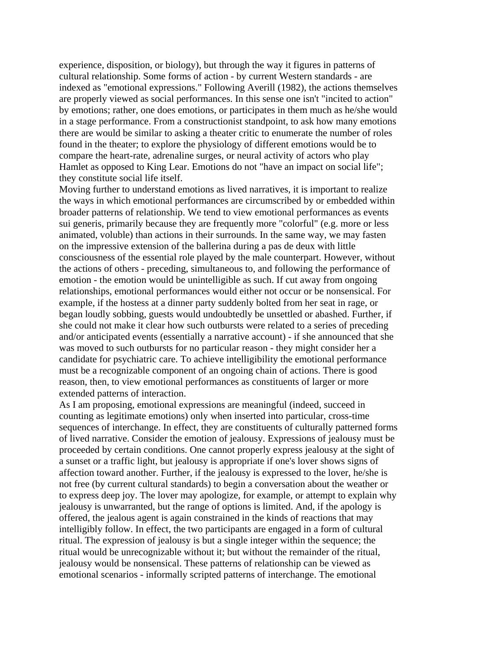experience, disposition, or biology), but through the way it figures in patterns of cultural relationship. Some forms of action - by current Western standards - are indexed as "emotional expressions." Following Averill (1982), the actions themselves are properly viewed as social performances. In this sense one isn't "incited to action" by emotions; rather, one does emotions, or participates in them much as he/she would in a stage performance. From a constructionist standpoint, to ask how many emotions there are would be similar to asking a theater critic to enumerate the number of roles found in the theater; to explore the physiology of different emotions would be to compare the heart-rate, adrenaline surges, or neural activity of actors who play Hamlet as opposed to King Lear. Emotions do not "have an impact on social life"; they constitute social life itself.

Moving further to understand emotions as lived narratives, it is important to realize the ways in which emotional performances are circumscribed by or embedded within broader patterns of relationship. We tend to view emotional performances as events sui generis, primarily because they are frequently more "colorful" (e.g. more or less animated, voluble) than actions in their surrounds. In the same way, we may fasten on the impressive extension of the ballerina during a pas de deux with little consciousness of the essential role played by the male counterpart. However, without the actions of others - preceding, simultaneous to, and following the performance of emotion - the emotion would be unintelligible as such. If cut away from ongoing relationships, emotional performances would either not occur or be nonsensical. For example, if the hostess at a dinner party suddenly bolted from her seat in rage, or began loudly sobbing, guests would undoubtedly be unsettled or abashed. Further, if she could not make it clear how such outbursts were related to a series of preceding and/or anticipated events (essentially a narrative account) - if she announced that she was moved to such outbursts for no particular reason - they might consider her a candidate for psychiatric care. To achieve intelligibility the emotional performance must be a recognizable component of an ongoing chain of actions. There is good reason, then, to view emotional performances as constituents of larger or more extended patterns of interaction.

As I am proposing, emotional expressions are meaningful (indeed, succeed in counting as legitimate emotions) only when inserted into particular, cross-time sequences of interchange. In effect, they are constituents of culturally patterned forms of lived narrative. Consider the emotion of jealousy. Expressions of jealousy must be proceeded by certain conditions. One cannot properly express jealousy at the sight of a sunset or a traffic light, but jealousy is appropriate if one's lover shows signs of affection toward another. Further, if the jealousy is expressed to the lover, he/she is not free (by current cultural standards) to begin a conversation about the weather or to express deep joy. The lover may apologize, for example, or attempt to explain why jealousy is unwarranted, but the range of options is limited. And, if the apology is offered, the jealous agent is again constrained in the kinds of reactions that may intelligibly follow. In effect, the two participants are engaged in a form of cultural ritual. The expression of jealousy is but a single integer within the sequence; the ritual would be unrecognizable without it; but without the remainder of the ritual, jealousy would be nonsensical. These patterns of relationship can be viewed as emotional scenarios - informally scripted patterns of interchange. The emotional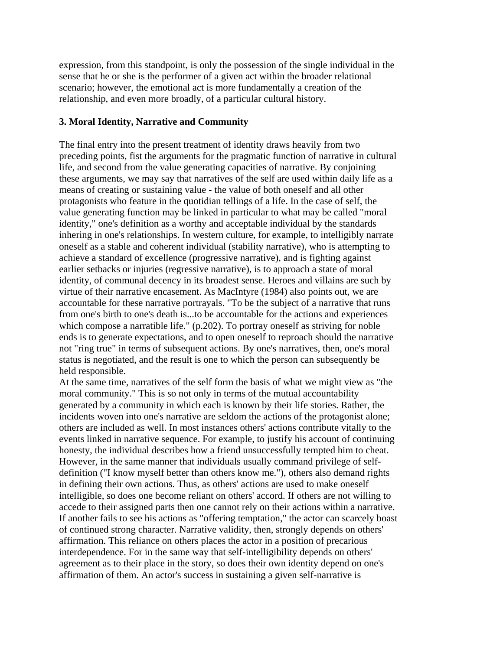expression, from this standpoint, is only the possession of the single individual in the sense that he or she is the performer of a given act within the broader relational scenario; however, the emotional act is more fundamentally a creation of the relationship, and even more broadly, of a particular cultural history.

### **3. Moral Identity, Narrative and Community**

The final entry into the present treatment of identity draws heavily from two preceding points, fist the arguments for the pragmatic function of narrative in cultural life, and second from the value generating capacities of narrative. By conjoining these arguments, we may say that narratives of the self are used within daily life as a means of creating or sustaining value - the value of both oneself and all other protagonists who feature in the quotidian tellings of a life. In the case of self, the value generating function may be linked in particular to what may be called "moral identity," one's definition as a worthy and acceptable individual by the standards inhering in one's relationships. In western culture, for example, to intelligibly narrate oneself as a stable and coherent individual (stability narrative), who is attempting to achieve a standard of excellence (progressive narrative), and is fighting against earlier setbacks or injuries (regressive narrative), is to approach a state of moral identity, of communal decency in its broadest sense. Heroes and villains are such by virtue of their narrative encasement. As MacIntyre (1984) also points out, we are accountable for these narrative portrayals. "To be the subject of a narrative that runs from one's birth to one's death is...to be accountable for the actions and experiences which compose a narratible life." (p.202). To portray oneself as striving for noble ends is to generate expectations, and to open oneself to reproach should the narrative not "ring true" in terms of subsequent actions. By one's narratives, then, one's moral status is negotiated, and the result is one to which the person can subsequently be held responsible.

At the same time, narratives of the self form the basis of what we might view as "the moral community." This is so not only in terms of the mutual accountability generated by a community in which each is known by their life stories. Rather, the incidents woven into one's narrative are seldom the actions of the protagonist alone; others are included as well. In most instances others' actions contribute vitally to the events linked in narrative sequence. For example, to justify his account of continuing honesty, the individual describes how a friend unsuccessfully tempted him to cheat. However, in the same manner that individuals usually command privilege of selfdefinition ("I know myself better than others know me."), others also demand rights in defining their own actions. Thus, as others' actions are used to make oneself intelligible, so does one become reliant on others' accord. If others are not willing to accede to their assigned parts then one cannot rely on their actions within a narrative. If another fails to see his actions as "offering temptation," the actor can scarcely boast of continued strong character. Narrative validity, then, strongly depends on others' affirmation. This reliance on others places the actor in a position of precarious interdependence. For in the same way that self-intelligibility depends on others' agreement as to their place in the story, so does their own identity depend on one's affirmation of them. An actor's success in sustaining a given self-narrative is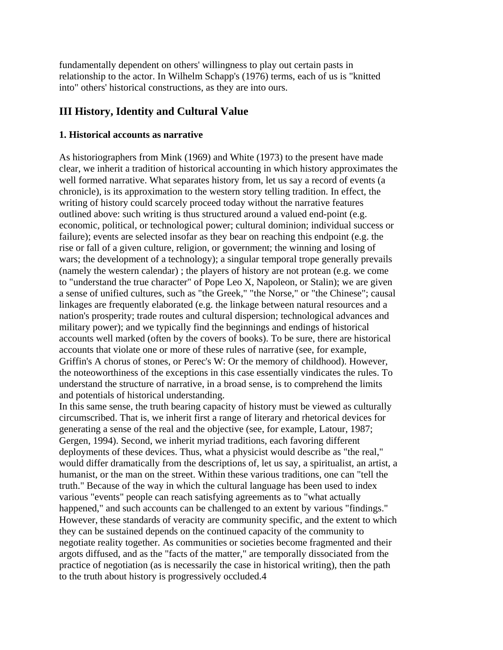fundamentally dependent on others' willingness to play out certain pasts in relationship to the actor. In Wilhelm Schapp's (1976) terms, each of us is "knitted into" others' historical constructions, as they are into ours.

## **III History, Identity and Cultural Value**

### **1. Historical accounts as narrative**

As historiographers from Mink (1969) and White (1973) to the present have made clear, we inherit a tradition of historical accounting in which history approximates the well formed narrative. What separates history from, let us say a record of events (a chronicle), is its approximation to the western story telling tradition. In effect, the writing of history could scarcely proceed today without the narrative features outlined above: such writing is thus structured around a valued end-point (e.g. economic, political, or technological power; cultural dominion; individual success or failure); events are selected insofar as they bear on reaching this endpoint (e.g. the rise or fall of a given culture, religion, or government; the winning and losing of wars; the development of a technology); a singular temporal trope generally prevails (namely the western calendar) ; the players of history are not protean (e.g. we come to "understand the true character" of Pope Leo X, Napoleon, or Stalin); we are given a sense of unified cultures, such as "the Greek," "the Norse," or "the Chinese"; causal linkages are frequently elaborated (e.g. the linkage between natural resources and a nation's prosperity; trade routes and cultural dispersion; technological advances and military power); and we typically find the beginnings and endings of historical accounts well marked (often by the covers of books). To be sure, there are historical accounts that violate one or more of these rules of narrative (see, for example, Griffin's A chorus of stones, or Perec's W: Or the memory of childhood). However, the noteoworthiness of the exceptions in this case essentially vindicates the rules. To understand the structure of narrative, in a broad sense, is to comprehend the limits and potentials of historical understanding.

In this same sense, the truth bearing capacity of history must be viewed as culturally circumscribed. That is, we inherit first a range of literary and rhetorical devices for generating a sense of the real and the objective (see, for example, Latour, 1987; Gergen, 1994). Second, we inherit myriad traditions, each favoring different deployments of these devices. Thus, what a physicist would describe as "the real," would differ dramatically from the descriptions of, let us say, a spiritualist, an artist, a humanist, or the man on the street. Within these various traditions, one can "tell the truth." Because of the way in which the cultural language has been used to index various "events" people can reach satisfying agreements as to "what actually happened," and such accounts can be challenged to an extent by various "findings." However, these standards of veracity are community specific, and the extent to which they can be sustained depends on the continued capacity of the community to negotiate reality together. As communities or societies become fragmented and their argots diffused, and as the "facts of the matter," are temporally dissociated from the practice of negotiation (as is necessarily the case in historical writing), then the path to the truth about history is progressively occluded.4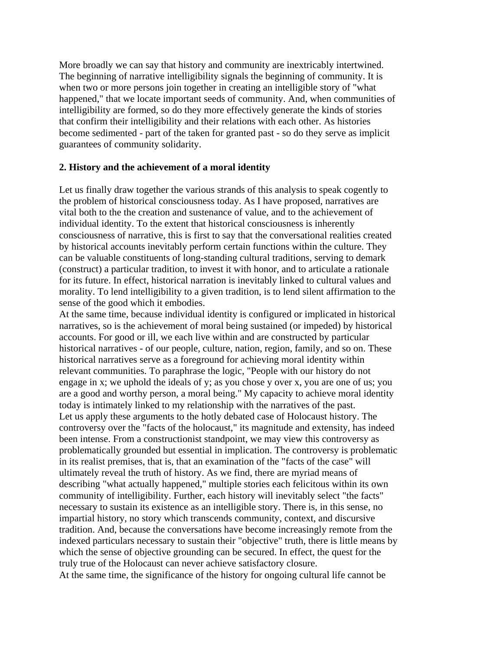More broadly we can say that history and community are inextricably intertwined. The beginning of narrative intelligibility signals the beginning of community. It is when two or more persons join together in creating an intelligible story of "what happened," that we locate important seeds of community. And, when communities of intelligibility are formed, so do they more effectively generate the kinds of stories that confirm their intelligibility and their relations with each other. As histories become sedimented - part of the taken for granted past - so do they serve as implicit guarantees of community solidarity.

### **2. History and the achievement of a moral identity**

Let us finally draw together the various strands of this analysis to speak cogently to the problem of historical consciousness today. As I have proposed, narratives are vital both to the the creation and sustenance of value, and to the achievement of individual identity. To the extent that historical consciousness is inherently consciousness of narrative, this is first to say that the conversational realities created by historical accounts inevitably perform certain functions within the culture. They can be valuable constituents of long-standing cultural traditions, serving to demark (construct) a particular tradition, to invest it with honor, and to articulate a rationale for its future. In effect, historical narration is inevitably linked to cultural values and morality. To lend intelligibility to a given tradition, is to lend silent affirmation to the sense of the good which it embodies.

At the same time, because individual identity is configured or implicated in historical narratives, so is the achievement of moral being sustained (or impeded) by historical accounts. For good or ill, we each live within and are constructed by particular historical narratives - of our people, culture, nation, region, family, and so on. These historical narratives serve as a foreground for achieving moral identity within relevant communities. To paraphrase the logic, "People with our history do not engage in x; we uphold the ideals of y; as you chose y over x, you are one of us; you are a good and worthy person, a moral being." My capacity to achieve moral identity today is intimately linked to my relationship with the narratives of the past. Let us apply these arguments to the hotly debated case of Holocaust history. The controversy over the "facts of the holocaust," its magnitude and extensity, has indeed been intense. From a constructionist standpoint, we may view this controversy as problematically grounded but essential in implication. The controversy is problematic in its realist premises, that is, that an examination of the "facts of the case" will ultimately reveal the truth of history. As we find, there are myriad means of describing "what actually happened," multiple stories each felicitous within its own community of intelligibility. Further, each history will inevitably select "the facts" necessary to sustain its existence as an intelligible story. There is, in this sense, no impartial history, no story which transcends community, context, and discursive tradition. And, because the conversations have become increasingly remote from the indexed particulars necessary to sustain their "objective" truth, there is little means by which the sense of objective grounding can be secured. In effect, the quest for the truly true of the Holocaust can never achieve satisfactory closure. At the same time, the significance of the history for ongoing cultural life cannot be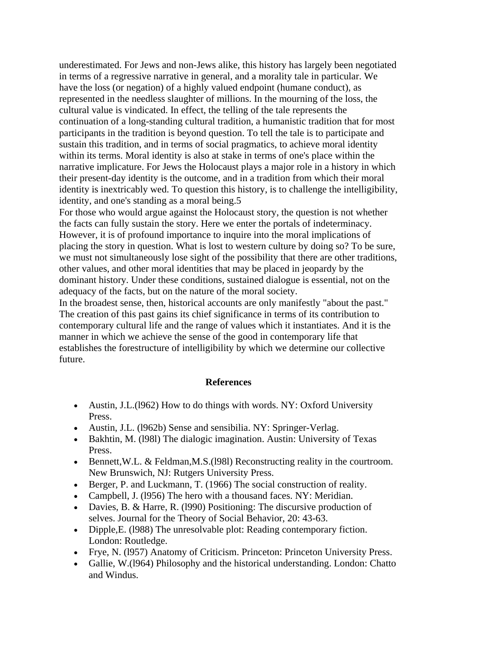underestimated. For Jews and non-Jews alike, this history has largely been negotiated in terms of a regressive narrative in general, and a morality tale in particular. We have the loss (or negation) of a highly valued endpoint (humane conduct), as represented in the needless slaughter of millions. In the mourning of the loss, the cultural value is vindicated. In effect, the telling of the tale represents the continuation of a long-standing cultural tradition, a humanistic tradition that for most participants in the tradition is beyond question. To tell the tale is to participate and sustain this tradition, and in terms of social pragmatics, to achieve moral identity within its terms. Moral identity is also at stake in terms of one's place within the narrative implicature. For Jews the Holocaust plays a major role in a history in which their present-day identity is the outcome, and in a tradition from which their moral identity is inextricably wed. To question this history, is to challenge the intelligibility, identity, and one's standing as a moral being.5

For those who would argue against the Holocaust story, the question is not whether the facts can fully sustain the story. Here we enter the portals of indeterminacy. However, it is of profound importance to inquire into the moral implications of placing the story in question. What is lost to western culture by doing so? To be sure, we must not simultaneously lose sight of the possibility that there are other traditions, other values, and other moral identities that may be placed in jeopardy by the dominant history. Under these conditions, sustained dialogue is essential, not on the adequacy of the facts, but on the nature of the moral society.

In the broadest sense, then, historical accounts are only manifestly "about the past." The creation of this past gains its chief significance in terms of its contribution to contemporary cultural life and the range of values which it instantiates. And it is the manner in which we achieve the sense of the good in contemporary life that establishes the forestructure of intelligibility by which we determine our collective future.

#### **References**

- Austin, J.L. (1962) How to do things with words. NY: Oxford University Press.
- Austin, J.L. (1962b) Sense and sensibilia. NY: Springer-Verlag.
- Bakhtin, M. (l98l) The dialogic imagination. Austin: University of Texas Press.
- Bennett, W.L. & Feldman, M.S. (1981) Reconstructing reality in the courtroom. New Brunswich, NJ: Rutgers University Press.
- Berger, P. and Luckmann, T. (1966) The social construction of reality.
- Campbell, J. (l956) The hero with a thousand faces. NY: Meridian.
- Davies, B. & Harre, R. (1990) Positioning: The discursive production of selves. Journal for the Theory of Social Behavior, 20: 43-63.
- Dipple, E. (1988) The unresolvable plot: Reading contemporary fiction. London: Routledge.
- Frye, N. (l957) Anatomy of Criticism. Princeton: Princeton University Press.
- Gallie, W.(l964) Philosophy and the historical understanding. London: Chatto and Windus.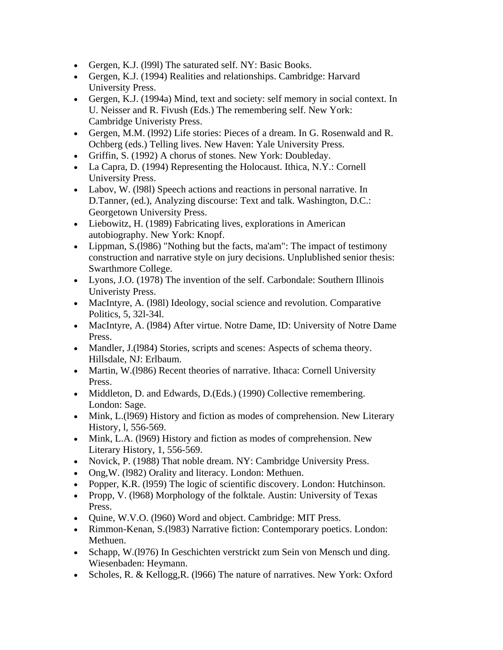- Gergen, K.J. (l99l) The saturated self. NY: Basic Books.
- Gergen, K.J. (1994) Realities and relationships. Cambridge: Harvard University Press.
- Gergen, K.J. (1994a) Mind, text and society: self memory in social context. In U. Neisser and R. Fivush (Eds.) The remembering self. New York: Cambridge Univeristy Press.
- Gergen, M.M. (l992) Life stories: Pieces of a dream. In G. Rosenwald and R. Ochberg (eds.) Telling lives. New Haven: Yale University Press.
- Griffin, S. (1992) A chorus of stones. New York: Doubleday.
- La Capra, D. (1994) Representing the Holocaust. Ithica, N.Y.: Cornell University Press.
- Labov, W. (l98l) Speech actions and reactions in personal narrative. In D.Tanner, (ed.), Analyzing discourse: Text and talk. Washington, D.C.: Georgetown University Press.
- Liebowitz, H. (1989) Fabricating lives, explorations in American autobiography. New York: Knopf.
- Lippman, S.(1986) "Nothing but the facts, ma'am": The impact of testimony construction and narrative style on jury decisions. Unplublished senior thesis: Swarthmore College.
- Lyons, J.O. (1978) The invention of the self. Carbondale: Southern Illinois Univeristy Press.
- MacIntyre, A. (1981) Ideology, social science and revolution. Comparative Politics, 5, 32l-34l.
- MacIntyre, A. (1984) After virtue. Notre Dame, ID: University of Notre Dame Press.
- Mandler, J.(1984) Stories, scripts and scenes: Aspects of schema theory. Hillsdale, NJ: Erlbaum.
- Martin, W.(1986) Recent theories of narrative. Ithaca: Cornell University Press.
- Middleton, D. and Edwards, D. (Eds.) (1990) Collective remembering. London: Sage.
- Mink, L.(1969) History and fiction as modes of comprehension. New Literary History, l, 556-569.
- Mink, L.A. (1969) History and fiction as modes of comprehension. New Literary History, 1, 556-569.
- Novick, P. (1988) That noble dream. NY: Cambridge University Press.
- Ong,W. (l982) Orality and literacy. London: Methuen.
- Popper, K.R. (1959) The logic of scientific discovery. London: Hutchinson.
- Propp, V. (1968) Morphology of the folktale. Austin: University of Texas Press.
- Quine, W.V.O. (l960) Word and object. Cambridge: MIT Press.
- Rimmon-Kenan, S.(l983) Narrative fiction: Contemporary poetics. London: Methuen.
- Schapp, W.(1976) In Geschichten verstrickt zum Sein von Mensch und ding. Wiesenbaden: Heymann.
- Scholes, R. & Kellogg, R. (1966) The nature of narratives. New York: Oxford